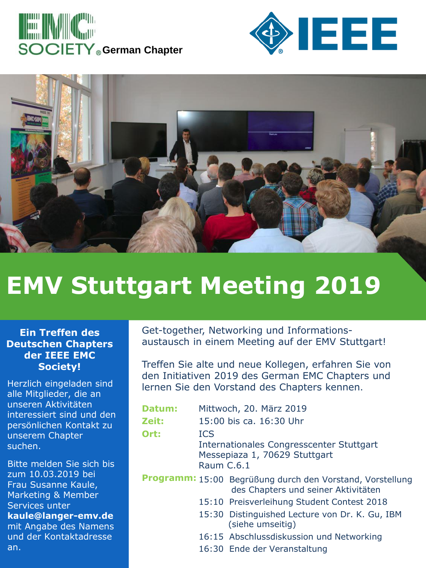





## **EMV Stuttgart Meeting 2019**

## **Ein Treffen des Deutschen Chapters der IEEE EMC Society!**

Herzlich eingeladen sind alle Mitglieder, die an unseren Aktivitäten interessiert sind und den persönlichen Kontakt zu unserem Chapter suchen.

Bitte melden Sie sich bis zum 10.03.2019 bei Frau Susanne Kaule, Marketing & Member Services unter **kaule@langer-emv.de**  mit Angabe des Namens und der Kontaktadresse an.

Get-together, Networking und Informationsaustausch in einem Meeting auf der EMV Stuttgart!

Treffen Sie alte und neue Kollegen, erfahren Sie von den Initiativen 2019 des German EMC Chapters und lernen Sie den Vorstand des Chapters kennen.

| Datum: | Mittwoch, 20. März 2019                                                                               |                                                                                                  |
|--------|-------------------------------------------------------------------------------------------------------|--------------------------------------------------------------------------------------------------|
| Zeit:  | 15:00 bis ca. 16:30 Uhr                                                                               |                                                                                                  |
| Ort:   | <b>ICS</b><br>Internationales Congresscenter Stuttgart<br>Messepiaza 1, 70629 Stuttgart<br>Raum C.6.1 |                                                                                                  |
|        |                                                                                                       | Programm: 15:00 Begrüßung durch den Vorstand, Vorstellung<br>des Chapters und seiner Aktivitäten |
|        |                                                                                                       | 15:10 Preisverleihung Student Contest 2018                                                       |
|        |                                                                                                       | 15:30 Distinguished Lecture von Dr. K. Gu, IBM<br>(siehe umseitig)                               |
|        |                                                                                                       | 16:15 Abschlussdiskussion und Networking                                                         |
|        |                                                                                                       | 16:30 Ende der Veranstaltung                                                                     |
|        |                                                                                                       |                                                                                                  |